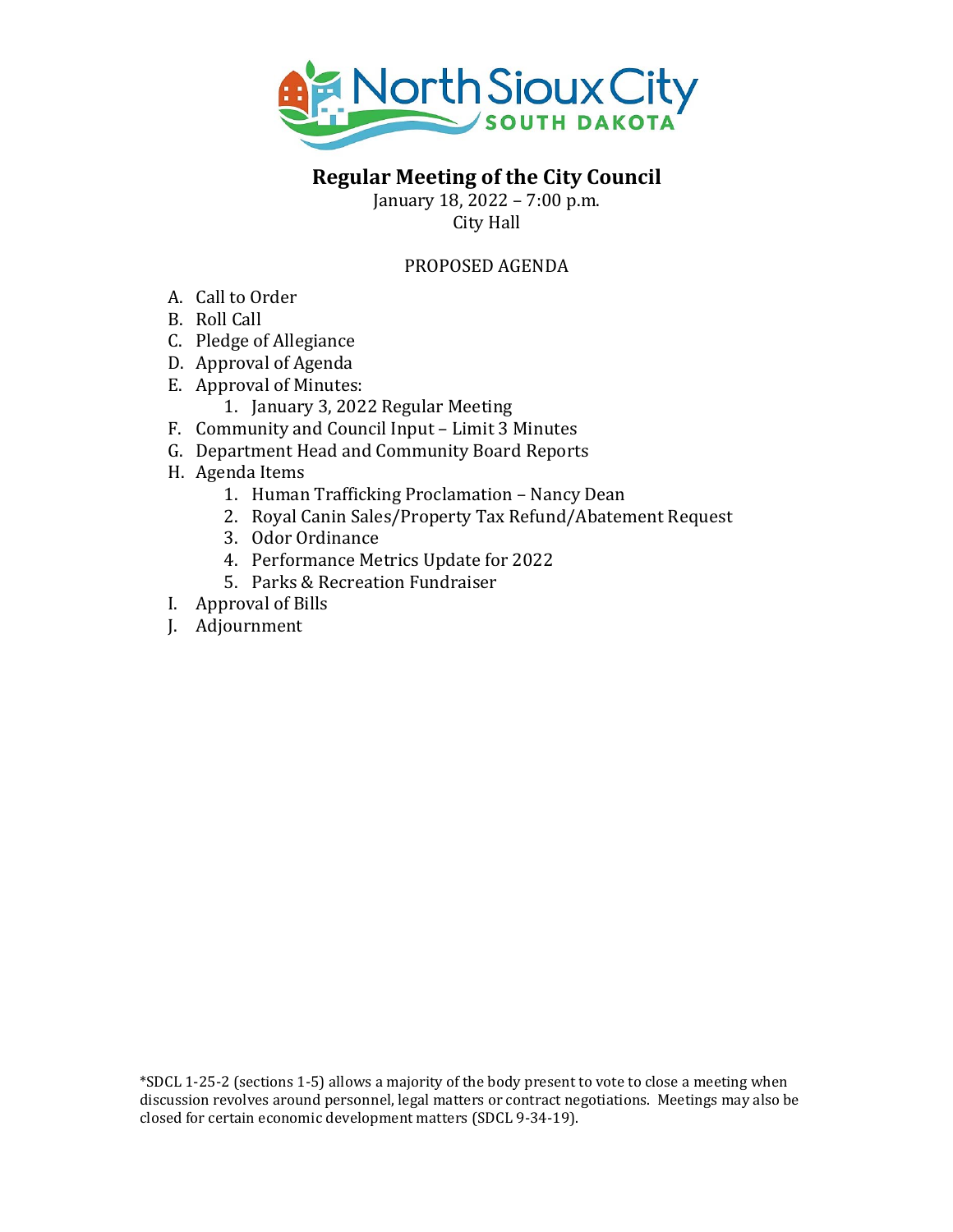

#### **Regular Meeting of the City Council**

January 18, 2022 – 7:00 p.m. City Hall

#### PROPOSED AGENDA

- A. Call to Order
- B. Roll Call
- C. Pledge of Allegiance
- D. Approval of Agenda
- E. Approval of Minutes:
	- 1. January 3, 2022 Regular Meeting
- F. Community and Council Input Limit 3 Minutes
- G. Department Head and Community Board Reports
- H. Agenda Items
	- 1. Human Trafficking Proclamation Nancy Dean
	- 2. Royal Canin Sales/Property Tax Refund/Abatement Request
	- 3. Odor Ordinance
	- 4. Performance Metrics Update for 2022
	- 5. Parks & Recreation Fundraiser
- I. Approval of Bills
- J. Adjournment

\*SDCL 1-25-2 (sections 1-5) allows a majority of the body present to vote to close a meeting when discussion revolves around personnel, legal matters or contract negotiations. Meetings may also be closed for certain economic development matters (SDCL 9-34-19).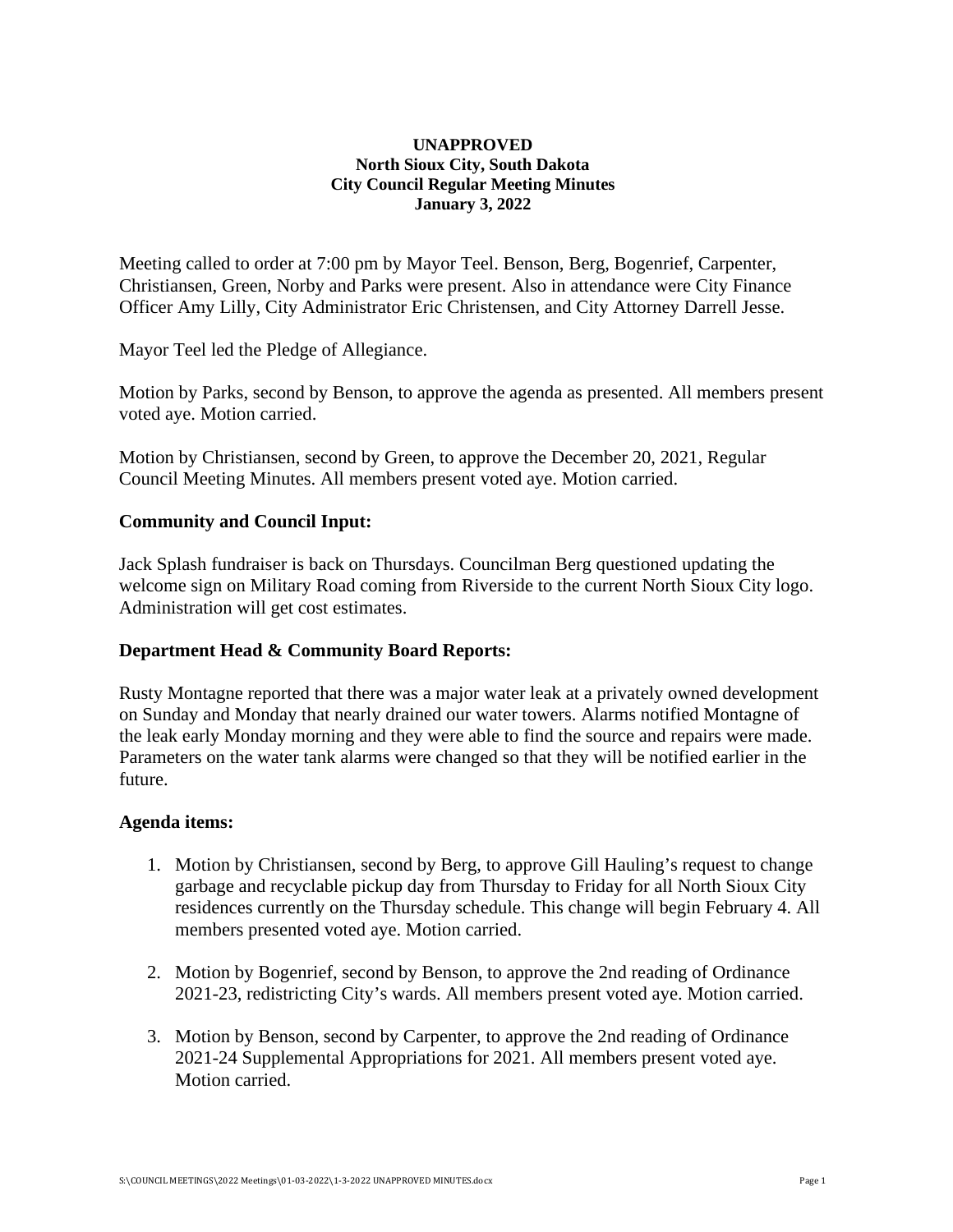#### **UNAPPROVED North Sioux City, South Dakota City Council Regular Meeting Minutes January 3, 2022**

Meeting called to order at 7:00 pm by Mayor Teel. Benson, Berg, Bogenrief, Carpenter, Christiansen, Green, Norby and Parks were present. Also in attendance were City Finance Officer Amy Lilly, City Administrator Eric Christensen, and City Attorney Darrell Jesse.

Mayor Teel led the Pledge of Allegiance.

Motion by Parks, second by Benson, to approve the agenda as presented. All members present voted aye. Motion carried.

Motion by Christiansen, second by Green, to approve the December 20, 2021, Regular Council Meeting Minutes. All members present voted aye. Motion carried.

#### **Community and Council Input:**

Jack Splash fundraiser is back on Thursdays. Councilman Berg questioned updating the welcome sign on Military Road coming from Riverside to the current North Sioux City logo. Administration will get cost estimates.

#### **Department Head & Community Board Reports:**

Rusty Montagne reported that there was a major water leak at a privately owned development on Sunday and Monday that nearly drained our water towers. Alarms notified Montagne of the leak early Monday morning and they were able to find the source and repairs were made. Parameters on the water tank alarms were changed so that they will be notified earlier in the future.

#### **Agenda items:**

- 1. Motion by Christiansen, second by Berg, to approve Gill Hauling's request to change garbage and recyclable pickup day from Thursday to Friday for all North Sioux City residences currently on the Thursday schedule. This change will begin February 4. All members presented voted aye. Motion carried.
- 2. Motion by Bogenrief, second by Benson, to approve the 2nd reading of Ordinance 2021-23, redistricting City's wards. All members present voted aye. Motion carried.
- 3. Motion by Benson, second by Carpenter, to approve the 2nd reading of Ordinance 2021-24 Supplemental Appropriations for 2021. All members present voted aye. Motion carried.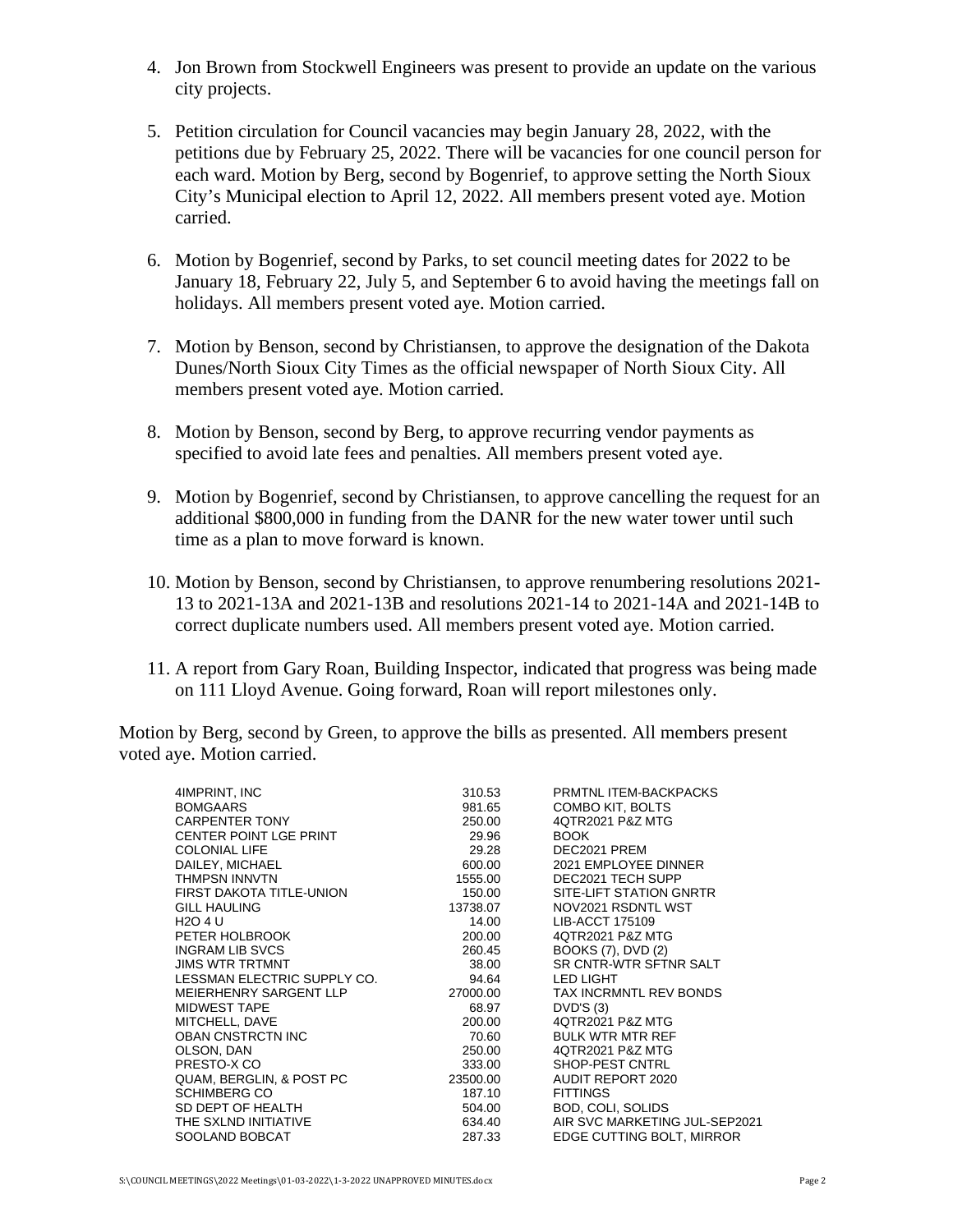- 4. Jon Brown from Stockwell Engineers was present to provide an update on the various city projects.
- 5. Petition circulation for Council vacancies may begin January 28, 2022, with the petitions due by February 25, 2022. There will be vacancies for one council person for each ward. Motion by Berg, second by Bogenrief, to approve setting the North Sioux City's Municipal election to April 12, 2022. All members present voted aye. Motion carried.
- 6. Motion by Bogenrief, second by Parks, to set council meeting dates for 2022 to be January 18, February 22, July 5, and September 6 to avoid having the meetings fall on holidays. All members present voted aye. Motion carried.
- 7. Motion by Benson, second by Christiansen, to approve the designation of the Dakota Dunes/North Sioux City Times as the official newspaper of North Sioux City. All members present voted aye. Motion carried.
- 8. Motion by Benson, second by Berg, to approve recurring vendor payments as specified to avoid late fees and penalties. All members present voted aye.
- 9. Motion by Bogenrief, second by Christiansen, to approve cancelling the request for an additional \$800,000 in funding from the DANR for the new water tower until such time as a plan to move forward is known.
- 10. Motion by Benson, second by Christiansen, to approve renumbering resolutions 2021- 13 to 2021-13A and 2021-13B and resolutions 2021-14 to 2021-14A and 2021-14B to correct duplicate numbers used. All members present voted aye. Motion carried.
- 11. A report from Gary Roan, Building Inspector, indicated that progress was being made on 111 Lloyd Avenue. Going forward, Roan will report milestones only.

Motion by Berg, second by Green, to approve the bills as presented. All members present voted aye. Motion carried.

| 4IMPRINT, INC                 | 310.53   | PRMTNL ITEM-BACKPACKS         |
|-------------------------------|----------|-------------------------------|
| <b>BOMGAARS</b>               | 981.65   | COMBO KIT, BOLTS              |
| <b>CARPENTER TONY</b>         | 250.00   | 4QTR2021 P&Z MTG              |
| <b>CENTER POINT LGE PRINT</b> | 29.96    | <b>BOOK</b>                   |
| <b>COLONIAL LIFE</b>          | 29.28    | DEC2021 PREM                  |
| DAILEY, MICHAEL               | 600.00   | 2021 EMPLOYEE DINNER          |
| <b>THMPSN INNVTN</b>          | 1555.00  | DEC2021 TECH SUPP             |
| FIRST DAKOTA TITLE-UNION      | 150.00   | SITE-LIFT STATION GNRTR       |
| <b>GILL HAULING</b>           | 13738.07 | NOV2021 RSDNTL WST            |
| H <sub>2</sub> O 4 U          | 14.00    | LIB-ACCT 175109               |
| PETER HOLBROOK                | 200.00   | 4QTR2021 P&Z MTG              |
| <b>INGRAM LIB SVCS</b>        | 260.45   | BOOKS (7), DVD (2)            |
| <b>JIMS WTR TRTMNT</b>        | 38.00    | SR CNTR-WTR SFTNR SALT        |
| LESSMAN ELECTRIC SUPPLY CO.   | 94.64    | LED LIGHT                     |
| MEIERHENRY SARGENT LLP        | 27000.00 | <b>TAX INCRMNTL REV BONDS</b> |
| <b>MIDWEST TAPE</b>           | 68.97    | DVD'S(3)                      |
| MITCHELL, DAVE                | 200.00   | 4QTR2021 P&Z MTG              |
| <b>OBAN CNSTRCTN INC</b>      | 70.60    | <b>BULK WTR MTR REF</b>       |
| OLSON, DAN                    | 250.00   | 4QTR2021 P&Z MTG              |
| PRESTO-X CO                   | 333.00   | SHOP-PEST CNTRL               |
| QUAM, BERGLIN, & POST PC      | 23500.00 | AUDIT REPORT 2020             |
| <b>SCHIMBERG CO</b>           | 187.10   | <b>FITTINGS</b>               |
| SD DEPT OF HEALTH             | 504.00   | <b>BOD, COLI, SOLIDS</b>      |
| THE SXLND INITIATIVE          | 634.40   | AIR SVC MARKETING JUL-SEP2021 |
| SOOLAND BOBCAT                | 287.33   | EDGE CUTTING BOLT, MIRROR     |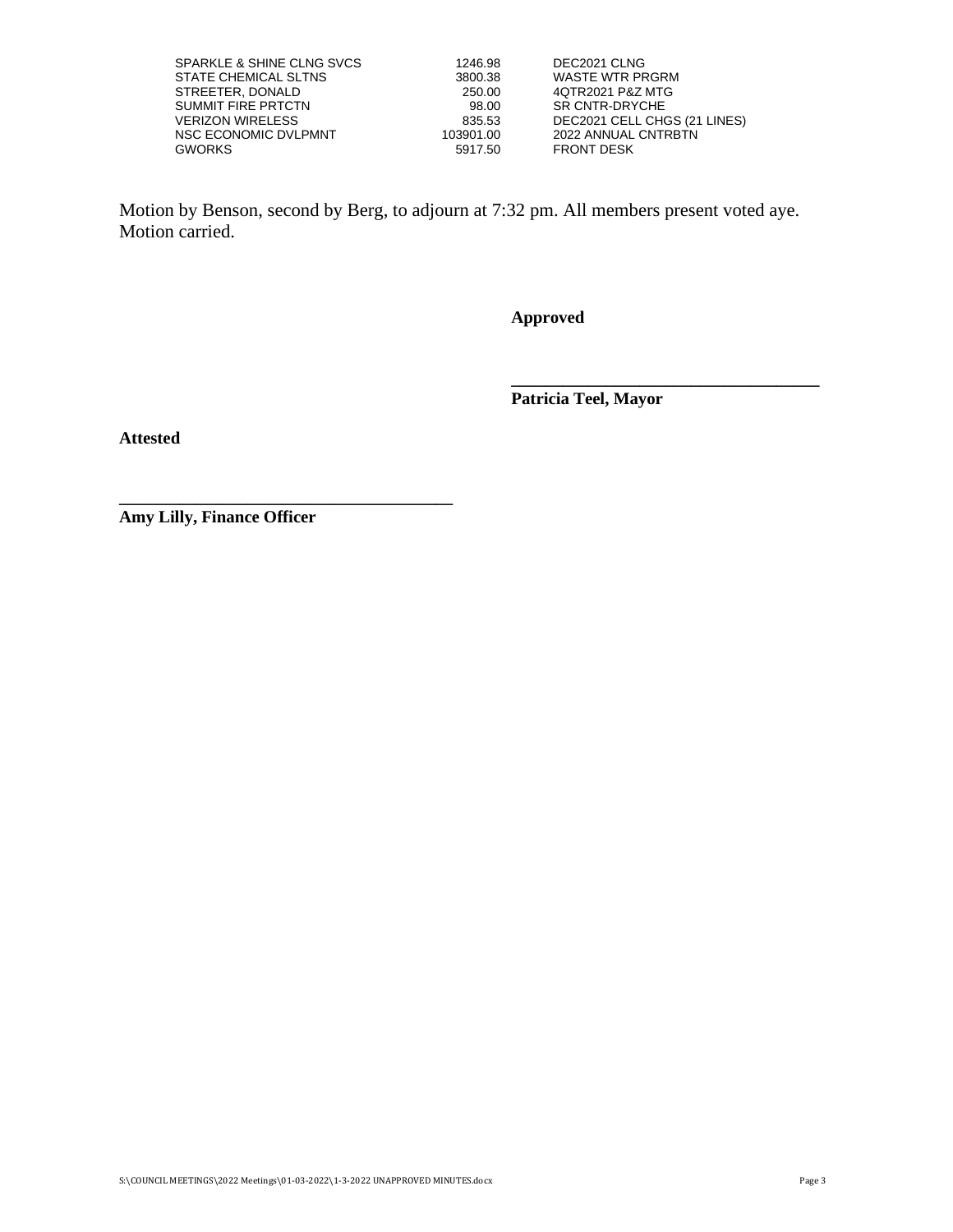| SPARKLE & SHINE CLNG SVCS | 1246.98   | DEC2021 CLNG                 |
|---------------------------|-----------|------------------------------|
| STATE CHEMICAL SLTNS      | 3800.38   | <b>WASTE WTR PRGRM</b>       |
| STREETER, DONALD          | 250.00    | 4QTR2021 P&Z MTG             |
| SUMMIT FIRE PRTCTN        | 98.00     | SR CNTR-DRYCHE               |
| VERIZON WIRELESS          | 835.53    | DEC2021 CELL CHGS (21 LINES) |
| NSC ECONOMIC DVLPMNT      | 103901.00 | 2022 ANNUAL CNTRBTN          |
| GWORKS                    | 5917.50   | <b>FRONT DESK</b>            |

Motion by Benson, second by Berg, to adjourn at 7:32 pm. All members present voted aye. Motion carried.

**Approved**

**Patricia Teel, Mayor**

**\_\_\_\_\_\_\_\_\_\_\_\_\_\_\_\_\_\_\_\_\_\_\_\_\_\_\_\_\_\_\_\_\_\_\_\_**

**Attested**

**Amy Lilly, Finance Officer**

**\_\_\_\_\_\_\_\_\_\_\_\_\_\_\_\_\_\_\_\_\_\_\_\_\_\_\_\_\_\_\_\_\_\_\_\_\_\_\_**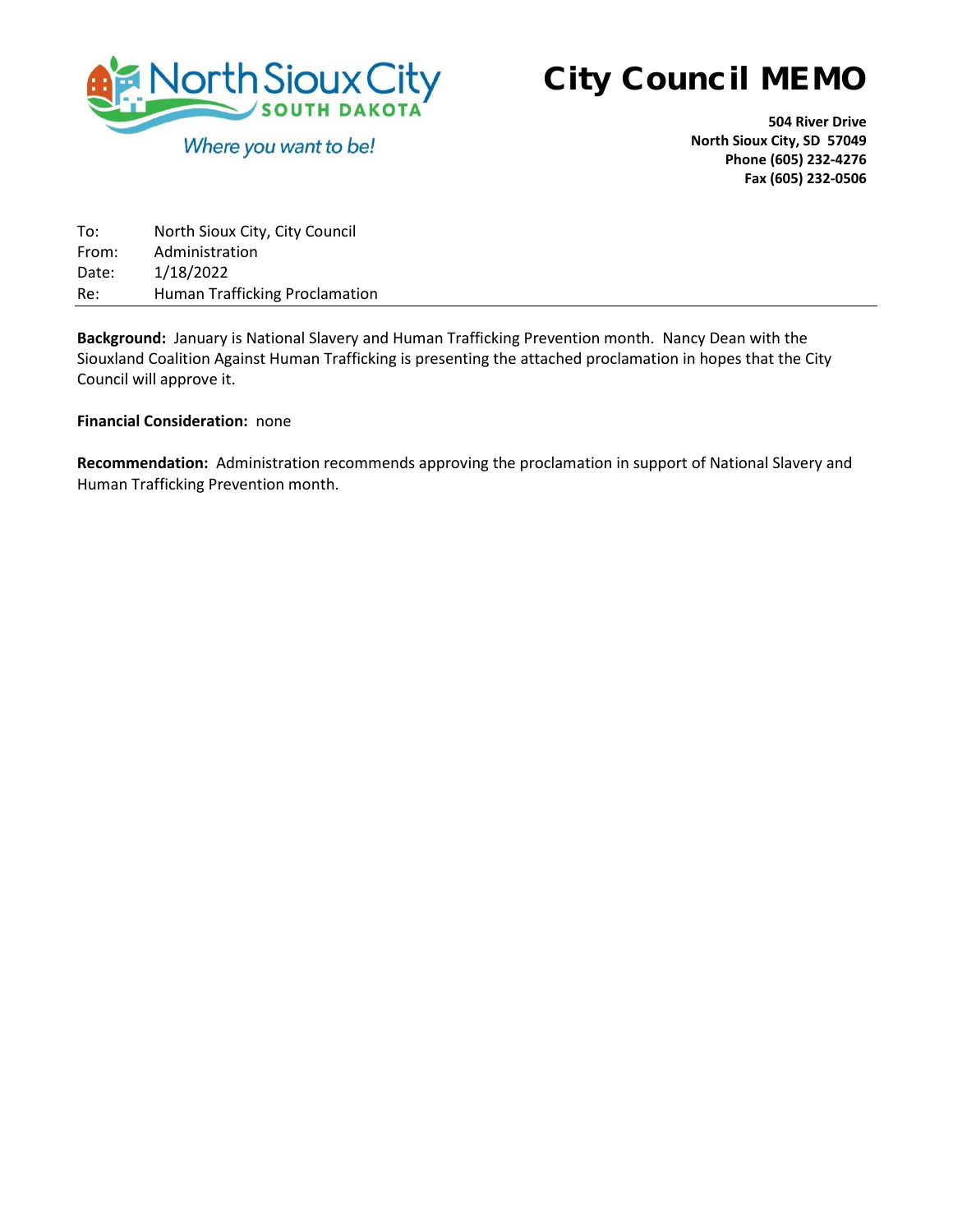

**504 River Drive North Sioux City, SD 57049 Phone (605) 232-4276 Fax (605) 232-0506**

| To:   | North Sioux City, City Council        |
|-------|---------------------------------------|
| From: | Administration                        |
| Date: | 1/18/2022                             |
| Re:   | <b>Human Trafficking Proclamation</b> |

**Background:** January is National Slavery and Human Trafficking Prevention month. Nancy Dean with the Siouxland Coalition Against Human Trafficking is presenting the attached proclamation in hopes that the City Council will approve it.

#### **Financial Consideration:** none

**Recommendation:** Administration recommends approving the proclamation in support of National Slavery and Human Trafficking Prevention month.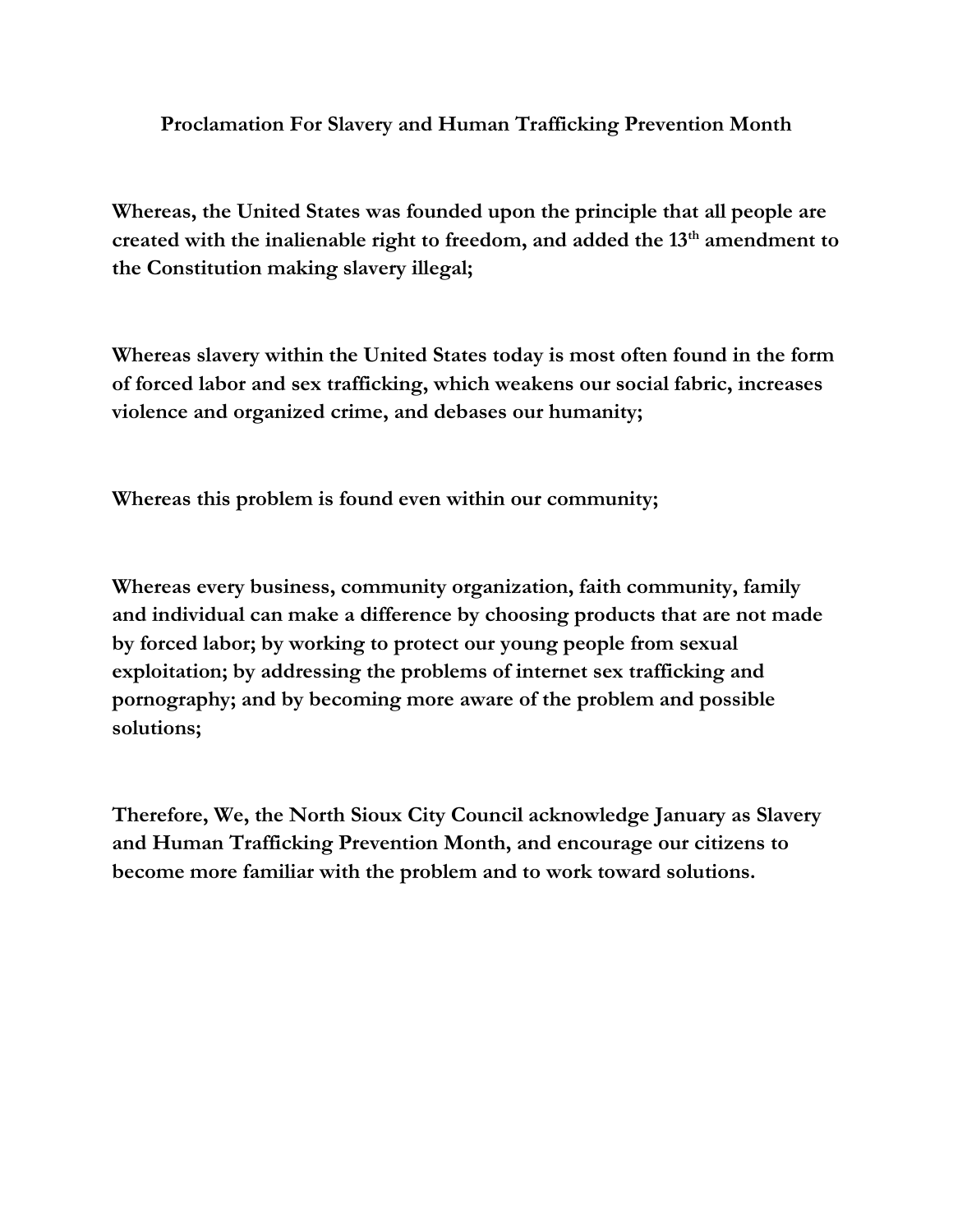**Proclamation For Slavery and Human Trafficking Prevention Month**

**Whereas, the United States was founded upon the principle that all people are created with the inalienable right to freedom, and added the 13th amendment to the Constitution making slavery illegal;**

**Whereas slavery within the United States today is most often found in the form of forced labor and sex trafficking, which weakens our social fabric, increases violence and organized crime, and debases our humanity;**

**Whereas this problem is found even within our community;**

**Whereas every business, community organization, faith community, family and individual can make a difference by choosing products that are not made by forced labor; by working to protect our young people from sexual exploitation; by addressing the problems of internet sex trafficking and pornography; and by becoming more aware of the problem and possible solutions;** 

**Therefore, We, the North Sioux City Council acknowledge January as Slavery and Human Trafficking Prevention Month, and encourage our citizens to become more familiar with the problem and to work toward solutions.**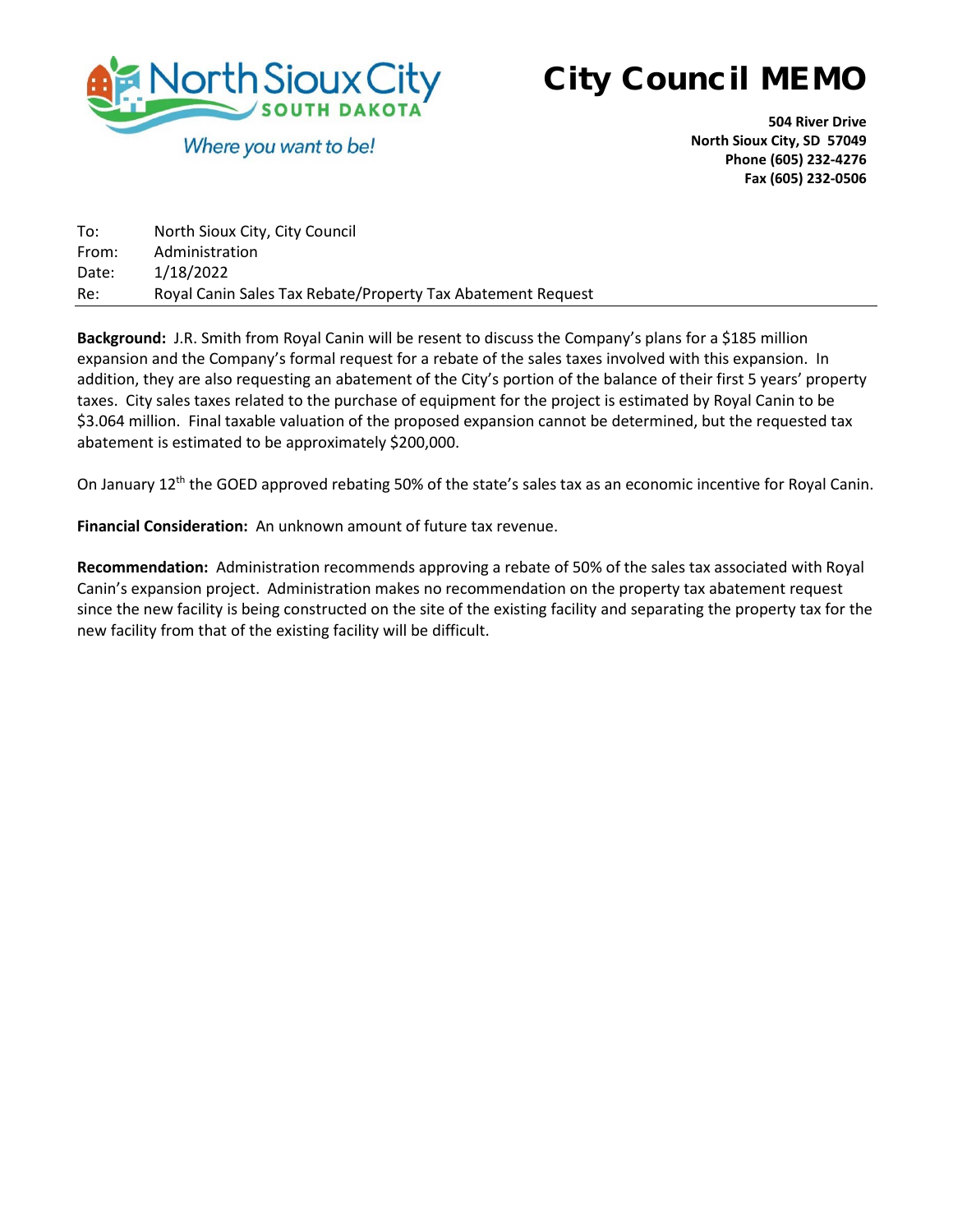

**504 River Drive North Sioux City, SD 57049 Phone (605) 232-4276 Fax (605) 232-0506**

| To:   | North Sioux City, City Council                              |
|-------|-------------------------------------------------------------|
| From: | Administration                                              |
| Date: | 1/18/2022                                                   |
| Re:   | Royal Canin Sales Tax Rebate/Property Tax Abatement Request |

**Background:** J.R. Smith from Royal Canin will be resent to discuss the Company's plans for a \$185 million expansion and the Company's formal request for a rebate of the sales taxes involved with this expansion. In addition, they are also requesting an abatement of the City's portion of the balance of their first 5 years' property taxes. City sales taxes related to the purchase of equipment for the project is estimated by Royal Canin to be \$3.064 million. Final taxable valuation of the proposed expansion cannot be determined, but the requested tax abatement is estimated to be approximately \$200,000.

On January 12<sup>th</sup> the GOED approved rebating 50% of the state's sales tax as an economic incentive for Royal Canin.

**Financial Consideration:** An unknown amount of future tax revenue.

**Recommendation:** Administration recommends approving a rebate of 50% of the sales tax associated with Royal Canin's expansion project. Administration makes no recommendation on the property tax abatement request since the new facility is being constructed on the site of the existing facility and separating the property tax for the new facility from that of the existing facility will be difficult.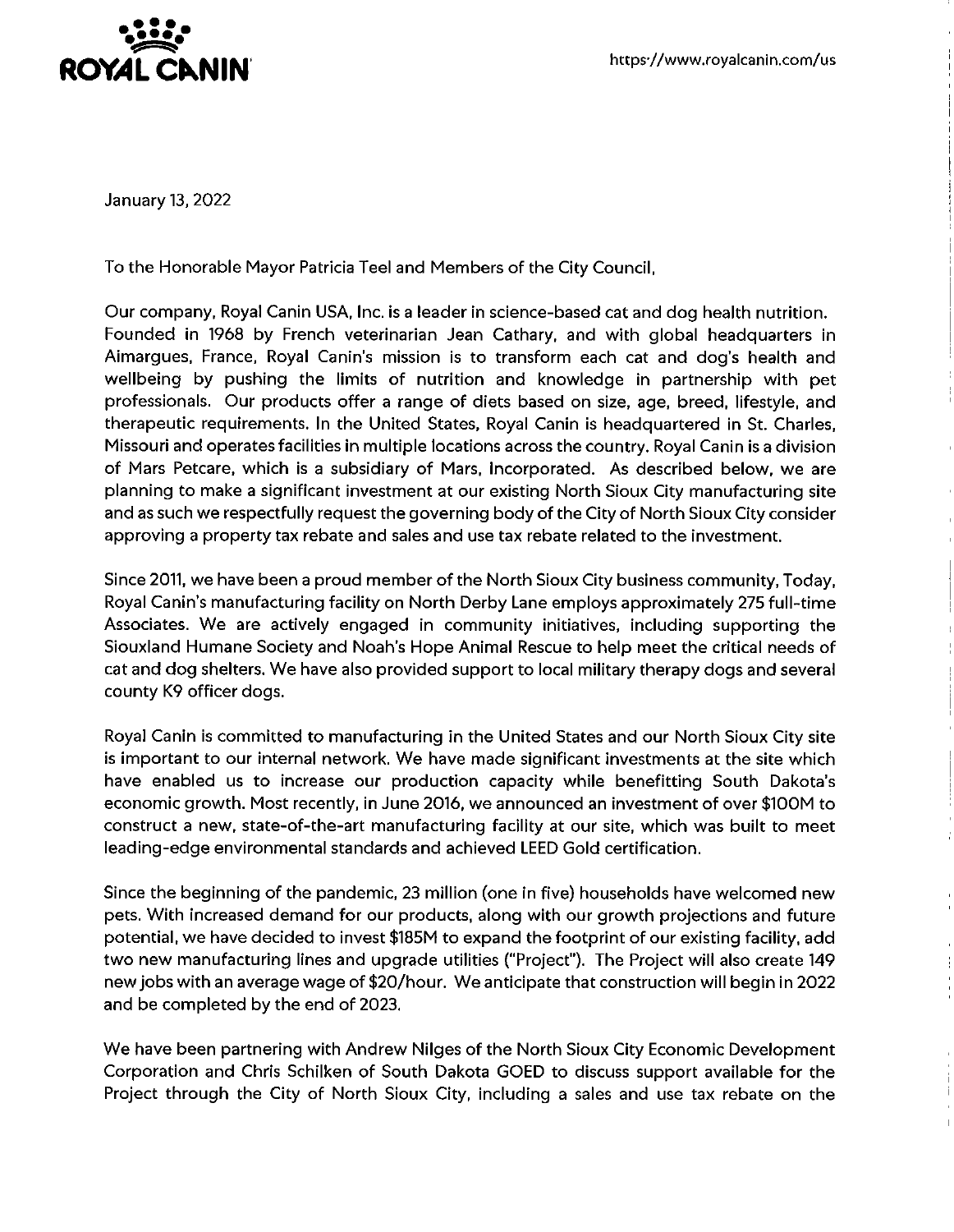

January 13, 2022

To the Honorable Mayor Patricia Teel and Members of the City Council,

Our company, Royal Canin USA, Inc. is a leader in science-based cat and dog health nutrition. Founded in 1968 by French veterinarian Jean Cathary, and with global headquarters in Aimargues, France, Royal Canin's mission is to transform each cat and dog's health and wellbeing by pushing the limits of nutrition and knowledge in partnership with pet professionals. Our products offer a range of diets based on size, age, breed, lifestyle, and therapeutic requirements. In the United States, Royal Canin is headquartered in St. Charles, Missouri and operates facilities in multiple locations across the country. Royal Canin is a division of Mars Petcare, which is a subsidiary of Mars, Incorporated. As described below, we are planning to make a significant investment at our existing North Sioux City manufacturing site and as such we respectfully request the governing body of the City of North Sioux City consider approving a property tax rebate and sales and use tax rebate related to the investment.

Since 2011, we have been a proud member of the North Sioux City business community, Today, Royal Canin's manufacturing facility on North Derby Lane employs approximately 275 full-time Associates. We are actively engaged in community initiatives, including supporting the Siouxland Humane Society and Noah's Hope Animal Rescue to help meet the critical needs of cat and dog shelters. We have also provided support to local military therapy dogs and several county K9 officer dogs.

Royal Canin is committed to manufacturing in the United States and our North Sioux City site is important to our internal network. We have made significant investments at the site which have enabled us to increase our production capacity while benefitting South Dakota's economic growth. Most recently, in June 2016, we announced an investment of over \$100M to construct a new, state-of-the-art manufacturing facility at our site, which was built to meet leading-edge environmental standards and achieved LEED Gold certification.

Since the beginning of the pandemic, 23 million (one in five) households have welcomed new pets. With increased demand for our products, along with our growth projections and future potential, we have decided to invest \$185M to expand the footprint of our existing facility, add two new manufacturing lines and upgrade utilities ("Project"). The Project will also create 149 new jobs with an average wage of \$20/hour. We anticipate that construction will begin in 2022 and be completed by the end of 2023.

We have been partnering with Andrew Nilges of the North Sioux City Economic Development Corporation and Chris Schilken of South Dakota GOED to discuss support available for the Project through the City of North Sioux City, including a sales and use tax rebate on the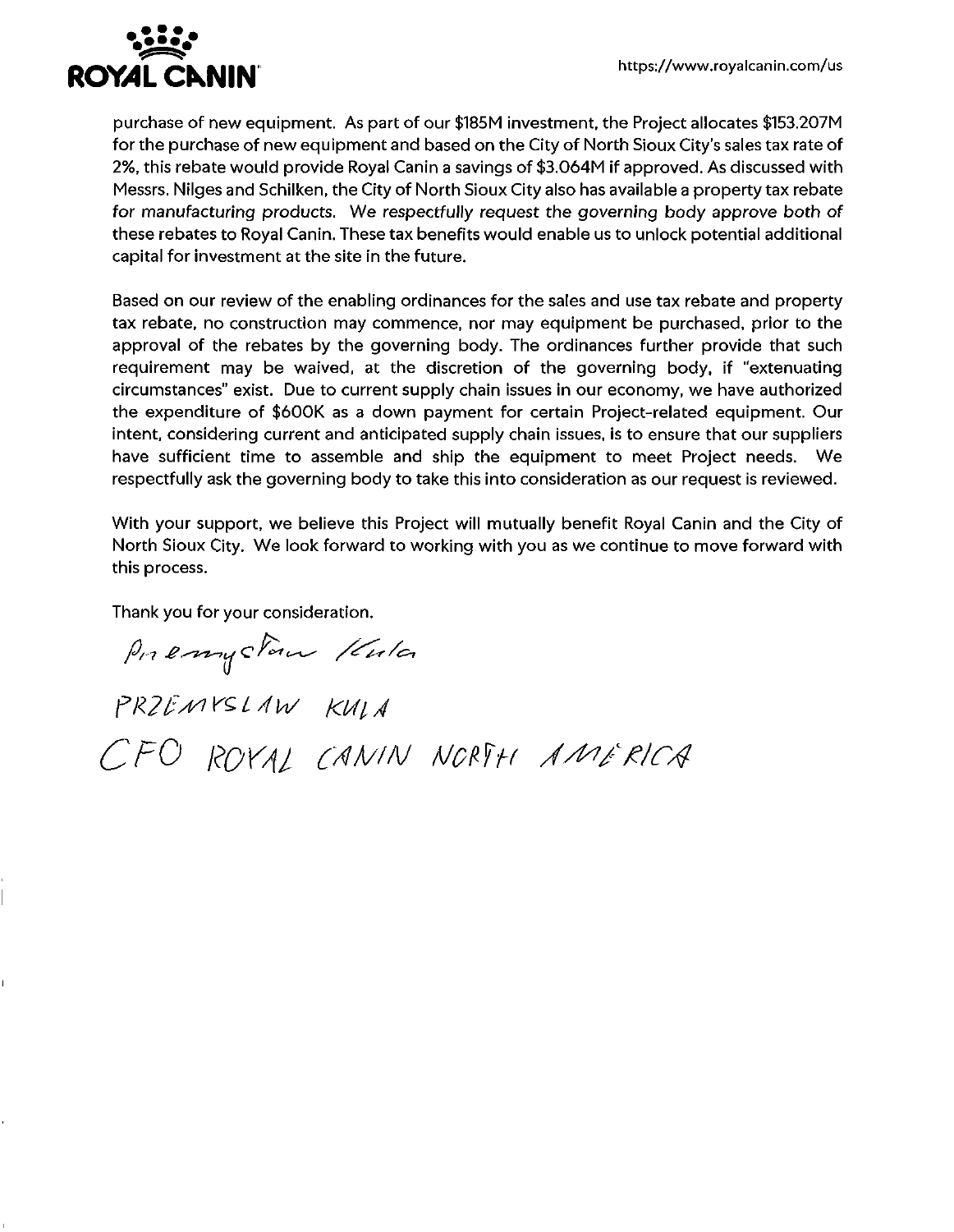

purchase of new equipment. As part of our \$185M investment, the Project allocates \$153.207M for the purchase of new equipment and based on the City of North Sioux City's sales tax rate of 2%, this rebate would provide Royal Canin a savings of \$3.064M if approved. As discussed with Messrs. Nilges and Schilken, the City of North Sioux City also has available a property tax rebate for manufacturing products. We respectfully request the governing body approve both of these rebates to Royal Canin. These tax benefits would enable us to unlock potential additional capital for investment at the site in the future.

Based on our review of the enabling ordinances for the sales and use tax rebate and property tax rebate, no construction may commence, nor may equipment be purchased, prior to the approval of the rebates by the governing body. The ordinances further provide that such requirement may be waived, at the discretion of the governing body, if "extenuating circumstances" exist. Due to current supply chain issues in our economy, we have authorized the expenditure of \$600K as a down payment for certain Project-related equipment. Our intent, considering current and anticipated supply chain issues, is to ensure that our suppliers have sufficient time to assemble and ship the equipment to meet Project needs. We respectfully ask the governing body to take this into consideration as our request is reviewed.

With your support, we believe this Project will mutually benefit Royal Canin and the City of North Sioux City. We look forward to working with you as we continue to move forward with this process.

Thank you for your consideration.

Premystown Kula PRZEMYSLAW KULA CFO ROYAL CANIN NORTH AMERICA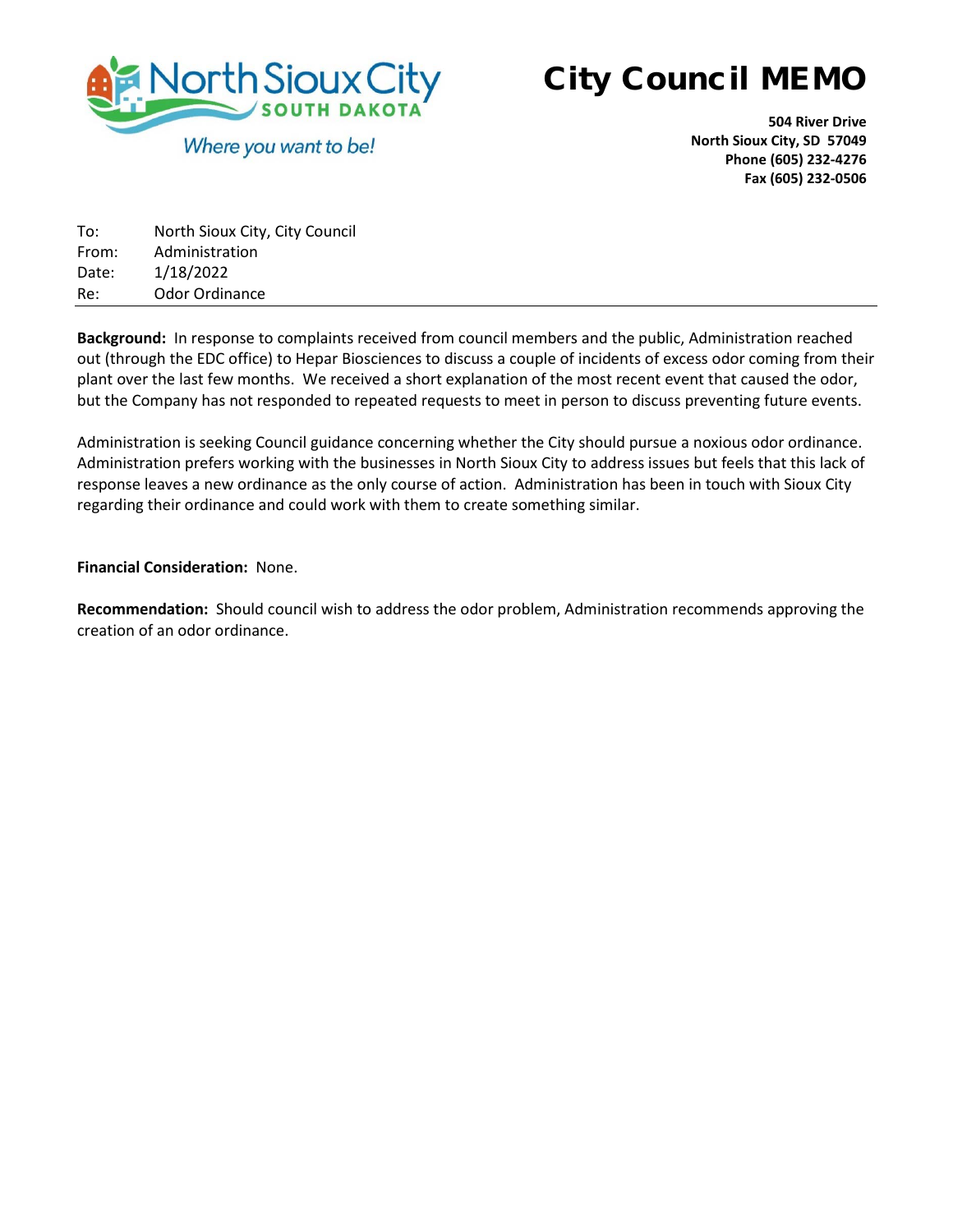

**504 River Drive North Sioux City, SD 57049 Phone (605) 232-4276 Fax (605) 232-0506**

| To:   | North Sioux City, City Council |
|-------|--------------------------------|
| From: | Administration                 |
| Date: | 1/18/2022                      |
| Re:   | Odor Ordinance                 |

**Background:** In response to complaints received from council members and the public, Administration reached out (through the EDC office) to Hepar Biosciences to discuss a couple of incidents of excess odor coming from their plant over the last few months. We received a short explanation of the most recent event that caused the odor, but the Company has not responded to repeated requests to meet in person to discuss preventing future events.

Administration is seeking Council guidance concerning whether the City should pursue a noxious odor ordinance. Administration prefers working with the businesses in North Sioux City to address issues but feels that this lack of response leaves a new ordinance as the only course of action. Administration has been in touch with Sioux City regarding their ordinance and could work with them to create something similar.

#### **Financial Consideration:** None.

**Recommendation:** Should council wish to address the odor problem, Administration recommends approving the creation of an odor ordinance.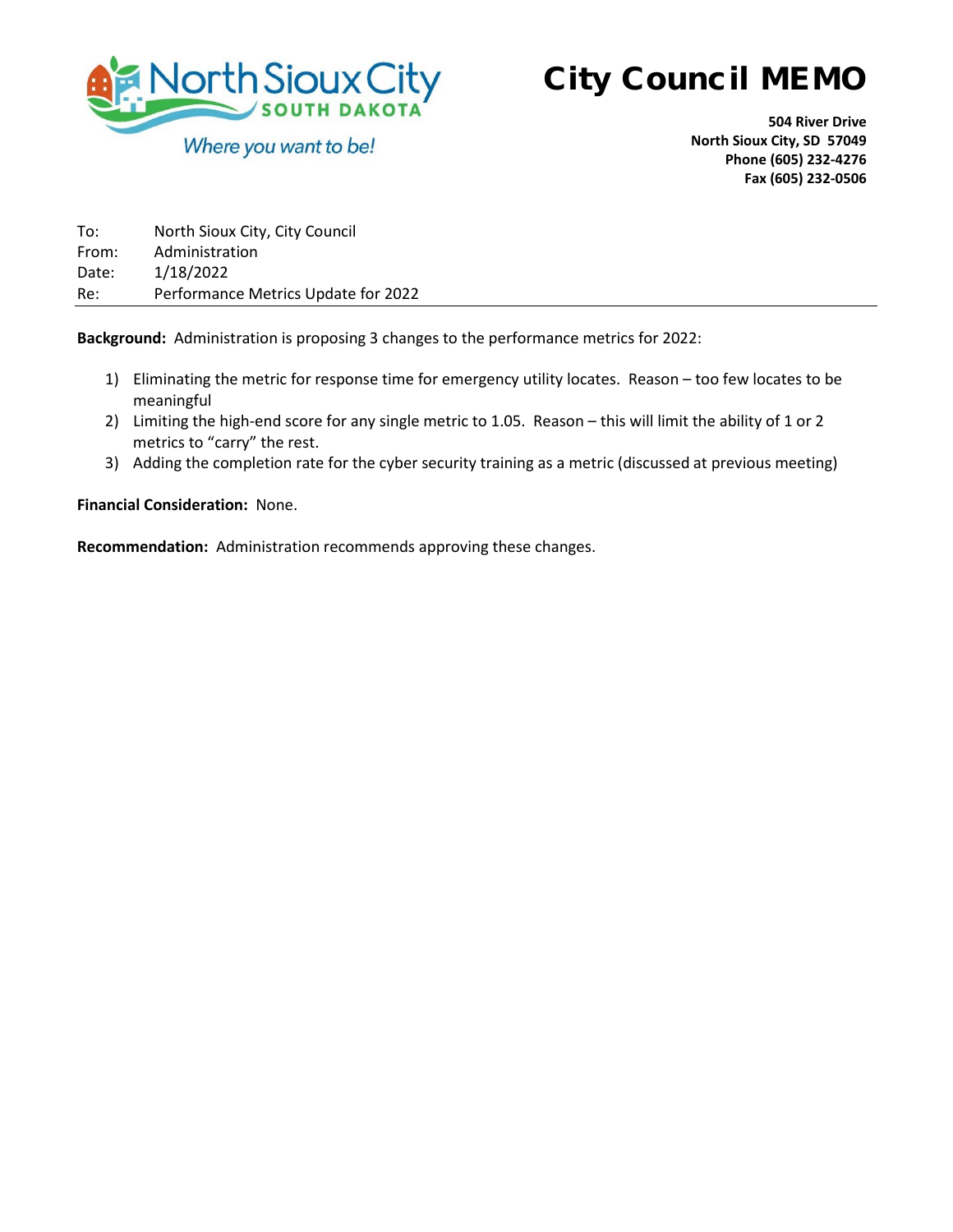

**504 River Drive North Sioux City, SD 57049 Phone (605) 232-4276 Fax (605) 232-0506**

| To:   | North Sioux City, City Council      |
|-------|-------------------------------------|
| From: | Administration                      |
| Date: | 1/18/2022                           |
| Re:   | Performance Metrics Update for 2022 |

**Background:** Administration is proposing 3 changes to the performance metrics for 2022:

- 1) Eliminating the metric for response time for emergency utility locates. Reason too few locates to be meaningful
- 2) Limiting the high-end score for any single metric to 1.05. Reason this will limit the ability of 1 or 2 metrics to "carry" the rest.
- 3) Adding the completion rate for the cyber security training as a metric (discussed at previous meeting)

**Financial Consideration:** None.

**Recommendation:** Administration recommends approving these changes.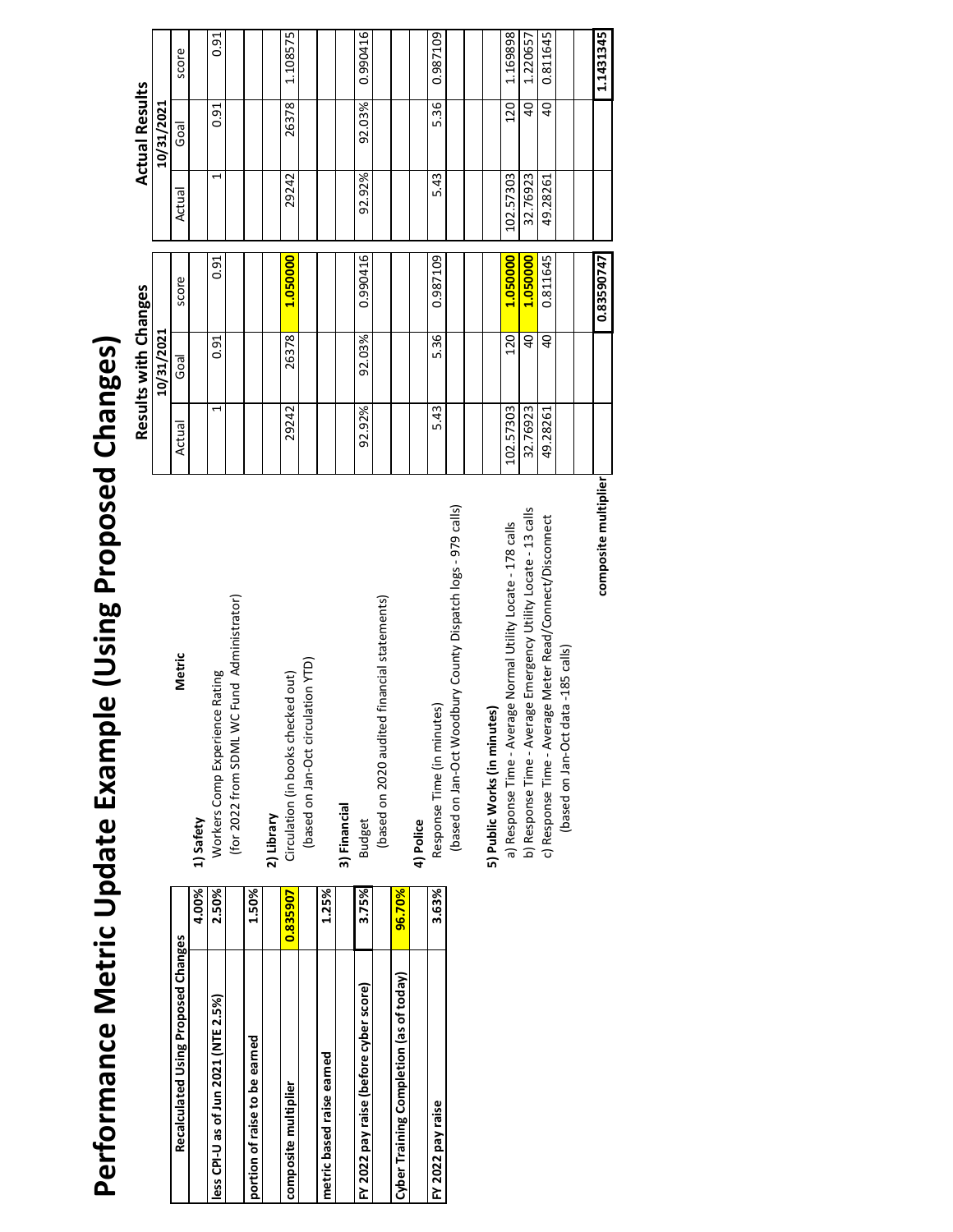# Performance Metric Update Example (Using Proposed Changes) **Performance Metric Update Example (Using Proposed Changes)**

| Recalculated Using Proposed Changes     |          |               |
|-----------------------------------------|----------|---------------|
|                                         | 4.00%    | 1) Safety     |
| less CPI-U as of Jun 2021 (NTE 2.5%)    | 2.50%    | Worker        |
|                                         |          | (for $20$     |
| portion of raise to be earned           | 1.50%    |               |
|                                         |          | 2) Library    |
| composite multiplier                    | 0.835907 | Circulat      |
|                                         |          | (base         |
| metric based raise earned               | 1.25%    |               |
|                                         |          | 3) Financ     |
| FY 2022 pay raise (before cyber score)  | 3.75%    | <b>Budget</b> |
|                                         |          | (base         |
| Cyber Training Completion (as of today) | 96.70%   |               |
|                                         |          | 4) Police     |
| FY 2022 pay raise                       | 3.63%    | Respon        |

# **Metric** Workers Comp Experience Rating Safety

# **2) Library**

# **3) Financial**

## **4) Police**

# 5) Public Works (in minutes) **5) Public Works (in minutes)**

|                                         |          |                                                                |           | Results with Changes |            |                | <b>Actual Results</b> |           |
|-----------------------------------------|----------|----------------------------------------------------------------|-----------|----------------------|------------|----------------|-----------------------|-----------|
|                                         |          |                                                                |           | 10/31/2021           |            |                | 10/31/2021            |           |
| Recalculated Using Proposed Changes     |          | Metric                                                         | Actual    | Goal                 | score      | Actual         | Goal                  | score     |
|                                         | 4.00%    | 1) Safety                                                      |           |                      |            |                |                       |           |
| less CPI-U as of Jun 2021 (NTE 2.5%)    | 2.50%    | Workers Comp Experience Rating                                 | 1         | 0.91                 | 0.91       | $\overline{ }$ | 0.91                  | 0.91      |
|                                         |          | (for 2022 from SDML WC Fund Administrator)                     |           |                      |            |                |                       |           |
| portion of raise to be earned           | 1.50%    |                                                                |           |                      |            |                |                       |           |
|                                         |          | 2) Library                                                     |           |                      |            |                |                       |           |
| composite multiplier                    | 0.835907 | Circulation (in books checked out)                             | 29242     | 26378                | 1.050000   | 29242          | 26378                 | 1.108575  |
|                                         |          | (based on Jan-Oct circulation YTD)                             |           |                      |            |                |                       |           |
| metric based raise earned               | 1.25%    |                                                                |           |                      |            |                |                       |           |
|                                         |          | 3) Financial                                                   |           |                      |            |                |                       |           |
| FY 2022 pay raise (before cyber score)  | 3.75%    | <b>Budget</b>                                                  | 92.92%    | 92.03%               | 0.990416   | 92.92%         | 92.03%                | 0.990416  |
|                                         |          | (based on 2020 audited financial statements)                   |           |                      |            |                |                       |           |
| Cyber Training Completion (as of today) | 96.70%   |                                                                |           |                      |            |                |                       |           |
|                                         |          | 4) Police                                                      |           |                      |            |                |                       |           |
| FY 2022 pay raise                       | 3.63%    | Response Time (in minutes)                                     | 5.43      | 5.36                 | 0.987109   | 5.43           | 5.36                  | 0.987109  |
|                                         |          | (based on Jan-Oct Woodbury County Dispatch logs - 979 calls)   |           |                      |            |                |                       |           |
|                                         |          | 5) Public Works (in minutes)                                   |           |                      |            |                |                       |           |
|                                         |          | a) Response Time - Average Normal Utility Locate - 178 calls   | 102.57303 | 120                  | 1.050000   | 102.57303      | 120                   | 1.169898  |
|                                         |          | b) Response Time - Average Emergency Utility Locate - 13 calls | 32.76923  | 40                   | 1.050000   | 32.76923       | $\overline{a}$        | 1.220657  |
|                                         |          | age Meter Read/Connect/Disconnect<br>c) Response Time - Avera  | 49.28261  | $\overline{a}$       | 0.811645   | 49.28261       | $\overline{a}$        | 0.811645  |
|                                         |          | (based on Jan-Oct data -185 calls)                             |           |                      |            |                |                       |           |
|                                         |          |                                                                |           |                      |            |                |                       |           |
|                                         |          | composite multiplier                                           |           |                      | 0.83590747 |                |                       | 1.1431345 |